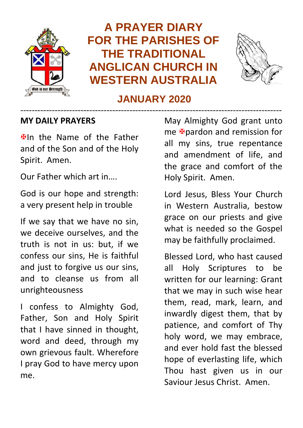

# **A PRAYER DIARY FOR THE PARISHES OF THE TRADITIONAL ANGLICAN CHURCH IN WESTERN AUSTRALIA**



## **JANUARY 2020** -------------------------------------------------------------------------------------------

#### **MY DAILY PRAYERS**

**Elln** the Name of the Father and of the Son and of the Holy Spirit. Amen.

Our Father which art in….

God is our hope and strength: a very present help in trouble

If we say that we have no sin, we deceive ourselves, and the truth is not in us: but, if we confess our sins, He is faithful and just to forgive us our sins, and to cleanse us from all unrighteousness

I confess to Almighty God, Father, Son and Holy Spirit that I have sinned in thought, word and deed, through my own grievous fault. Wherefore I pray God to have mercy upon me.

May Almighty God grant unto me **F**oardon and remission for all my sins, true repentance and amendment of life, and the grace and comfort of the Holy Spirit. Amen.

Lord Jesus, Bless Your Church in Western Australia, bestow grace on our priests and give what is needed so the Gospel may be faithfully proclaimed.

Blessed Lord, who hast caused all Holy Scriptures to be written for our learning: Grant that we may in such wise hear them, read, mark, learn, and inwardly digest them, that by patience, and comfort of Thy holy word, we may embrace, and ever hold fast the blessed hope of everlasting life, which Thou hast given us in our Saviour Jesus Christ. Amen.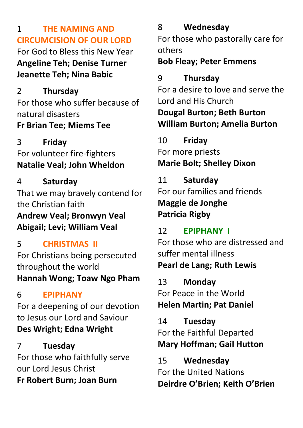## 1 **THE NAMING AND CIRCUMCISION OF OUR LORD**

For God to Bless this New Year **Angeline Teh; Denise Turner Jeanette Teh; Nina Babic**

# 2 **Thursday**

For those who suffer because of natural disasters **Fr Brian Tee; Miems Tee**

## 3 **Friday**

#### For volunteer fire-fighters **Natalie Veal; John Wheldon**

4 **Saturday** That we may bravely contend for the Christian faith **Andrew Veal; Bronwyn Veal Abigail; Levi; William Veal**

# 5 **CHRISTMAS II**

For Christians being persecuted throughout the world **Hannah Wong; Toaw Ngo Pham**

# 6 **EPIPHANY**

For a deepening of our devotion to Jesus our Lord and Saviour **Des Wright; Edna Wright**

# 7 **Tuesday**

For those who faithfully serve our Lord Jesus Christ **Fr Robert Burn; Joan Burn**

# 8 **Wednesday**

For those who pastorally care for others

## **Bob Fleay; Peter Emmens**

## 9 **Thursday**

For a desire to love and serve the Lord and His Church **Dougal Burton; Beth Burton William Burton; Amelia Burton**

10 **Friday** For more priests **Marie Bolt; Shelley Dixon**

# 11 **Saturday**

For our families and friends **Maggie de Jonghe Patricia Rigby**

# 12 **EPIPHANY I**

For those who are distressed and suffer mental illness **Pearl de Lang; Ruth Lewis**

13 **Monday** For Peace in the World **Helen Martin; Pat Daniel**

14 **Tuesday** For the Faithful Departed **Mary Hoffman; Gail Hutton**

15 **Wednesday** For the United Nations **Deirdre O'Brien; Keith O'Brien**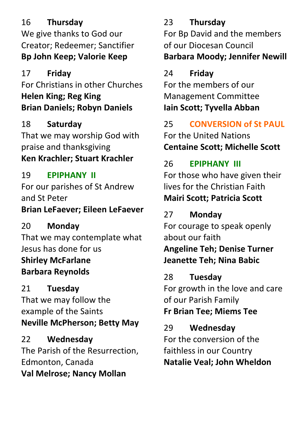## 16 **Thursday**

We give thanks to God our Creator; Redeemer; Sanctifier **Bp John Keep; Valorie Keep**

# 17 **Friday**

For Christians in other Churches **Helen King; Reg King Brian Daniels; Robyn Daniels**

18 **Saturday** That we may worship God with praise and thanksgiving **Ken Krachler; Stuart Krachler**

# 19 **EPIPHANY II**

For our parishes of St Andrew and St Peter **Brian LeFaever; Eileen LeFaever**

# 20 **Monday**

That we may contemplate what Jesus has done for us **Shirley McFarlane Barbara Reynolds**

# 21 **Tuesday**

That we may follow the example of the Saints **Neville McPherson; Betty May**

22 **Wednesday** The Parish of the Resurrection, Edmonton, Canada **Val Melrose; Nancy Mollan**

# 23 **Thursday**

For Bp David and the members of our Diocesan Council **Barbara Moody; Jennifer Newill**

# 24 **Friday**

For the members of our Management Committee **Iain Scott; Tyvella Abban**

25 **CONVERSION of St PAUL** For the United Nations **Centaine Scott; Michelle Scott**

# 26 **EPIPHANY III**

For those who have given their lives for the Christian Faith **Mairi Scott; Patricia Scott**

# 27 **Monday**

For courage to speak openly about our faith

**Angeline Teh; Denise Turner Jeanette Teh; Nina Babic**

# 28 **Tuesday**

For growth in the love and care of our Parish Family

**Fr Brian Tee; Miems Tee**

# 29 **Wednesday**

For the conversion of the faithless in our Country **Natalie Veal; John Wheldon**